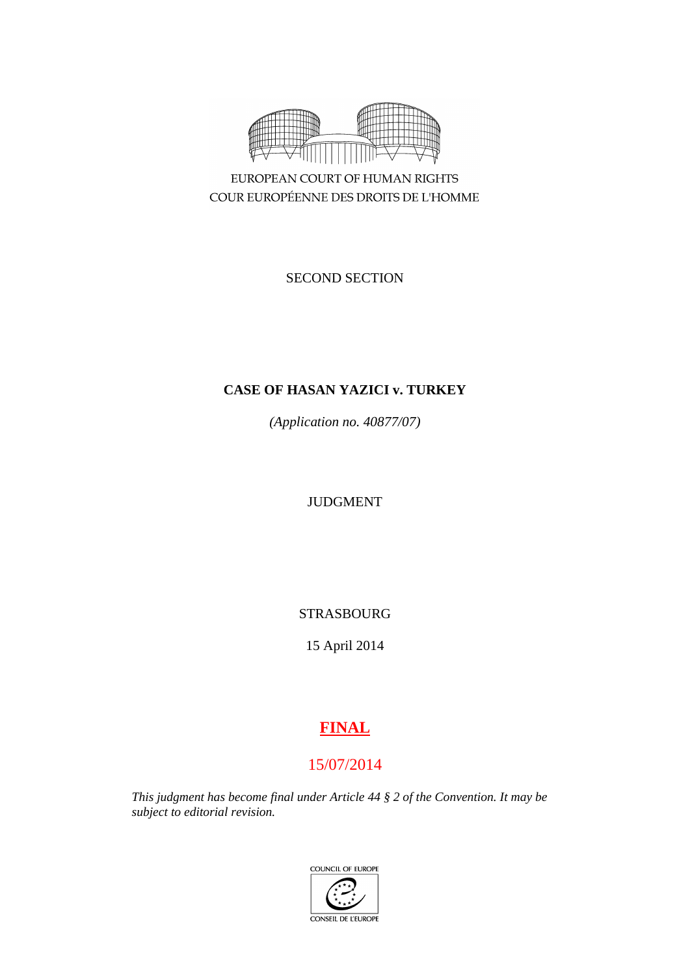

EUROPEAN COURT OF HUMAN RIGHTS COUR EUROPÉENNE DES DROITS DE L'HOMME

SECOND SECTION

# **CASE OF HASAN YAZICI v. TURKEY**

*(Application no. 40877/07)*

JUDGMENT

STRASBOURG

15 April 2014

# **FINAL**

# 15/07/2014

*This judgment has become final under Article 44 § 2 of the Convention. It may be subject to editorial revision.*

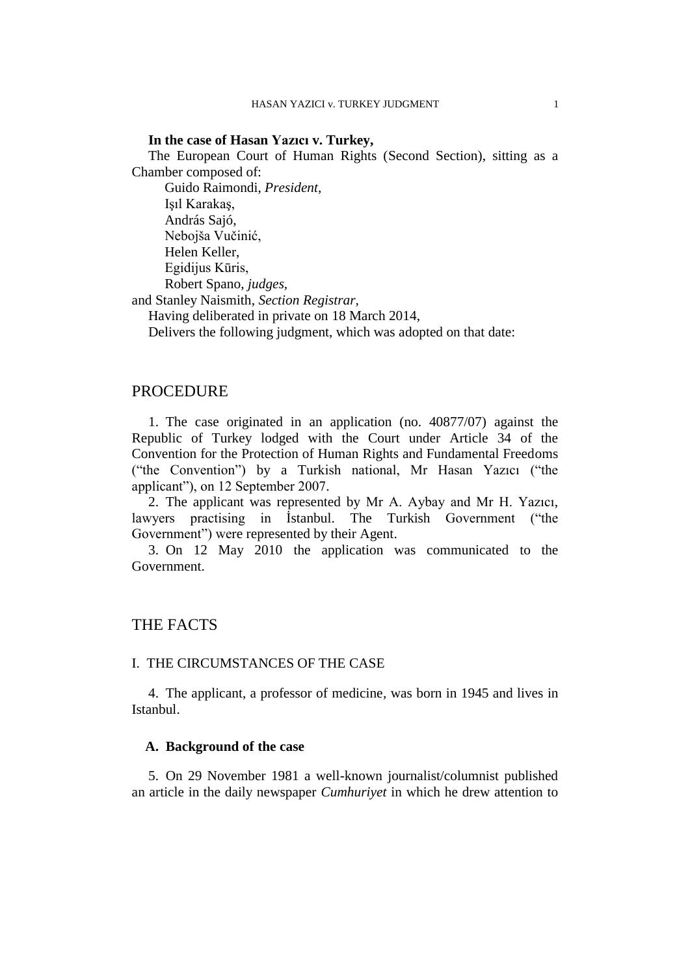## **In the case of Hasan Yazıcı v. Turkey,**

The European Court of Human Rights (Second Section), sitting as a Chamber composed of:

Guido Raimondi, *President,* Işıl Karakaş, András Sajó, Nebojša Vučinić, Helen Keller, Egidijus Kūris, Robert Spano, *judges,*

and Stanley Naismith, *Section Registrar,*

Having deliberated in private on 18 March 2014,

Delivers the following judgment, which was adopted on that date:

# PROCEDURE

1. The case originated in an application (no. 40877/07) against the Republic of Turkey lodged with the Court under Article 34 of the Convention for the Protection of Human Rights and Fundamental Freedoms ("the Convention") by a Turkish national, Mr Hasan Yazıcı ("the applicant"), on 12 September 2007.

2. The applicant was represented by Mr A. Aybay and Mr H. Yazıcı, lawyers practising in İstanbul. The Turkish Government ("the Government") were represented by their Agent.

3. On 12 May 2010 the application was communicated to the Government.

# THE FACTS

#### I. THE CIRCUMSTANCES OF THE CASE

4. The applicant, a professor of medicine, was born in 1945 and lives in Istanbul.

## **A. Background of the case**

5. On 29 November 1981 a well-known journalist/columnist published an article in the daily newspaper *Cumhuriyet* in which he drew attention to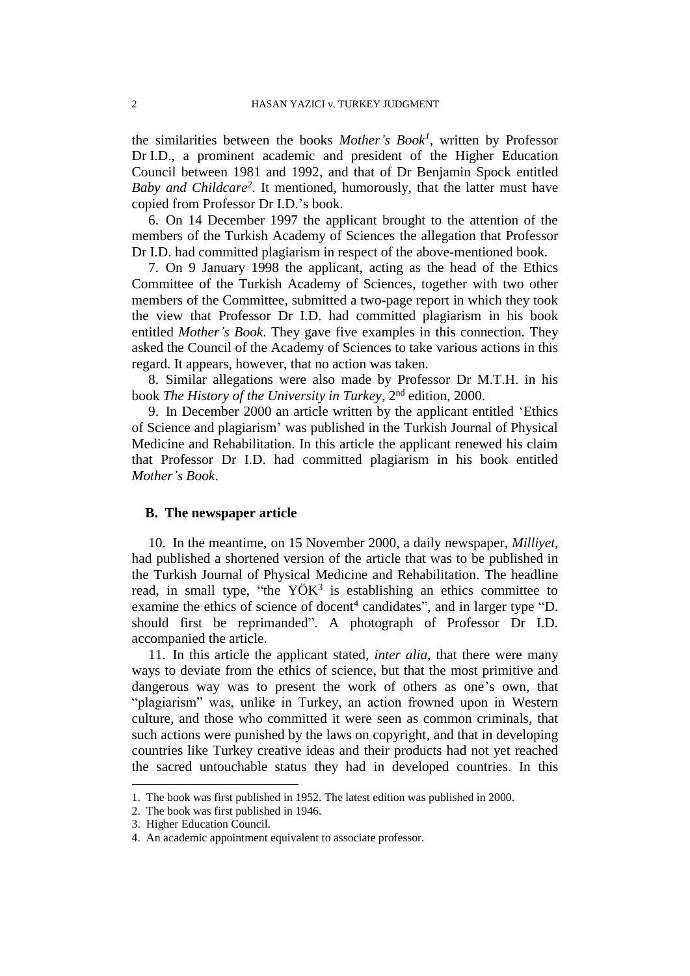the similarities between the books *Mother's Book<sup>1</sup>* , written by Professor Dr I.D., a prominent academic and president of the Higher Education Council between 1981 and 1992, and that of Dr Benjamin Spock entitled *Baby and Childcare<sup>2</sup>* . It mentioned, humorously, that the latter must have copied from Professor Dr I.D.'s book.

6. On 14 December 1997 the applicant brought to the attention of the members of the Turkish Academy of Sciences the allegation that Professor Dr I.D. had committed plagiarism in respect of the above-mentioned book.

7. On 9 January 1998 the applicant, acting as the head of the Ethics Committee of the Turkish Academy of Sciences, together with two other members of the Committee, submitted a two-page report in which they took the view that Professor Dr I.D. had committed plagiarism in his book entitled *Mother's Book*. They gave five examples in this connection. They asked the Council of the Academy of Sciences to take various actions in this regard. It appears, however, that no action was taken.

8. Similar allegations were also made by Professor Dr M.T.H. in his book *The History of the University in Turkey*, 2nd edition, 2000.

9. In December 2000 an article written by the applicant entitled 'Ethics of Science and plagiarism' was published in the Turkish Journal of Physical Medicine and Rehabilitation. In this article the applicant renewed his claim that Professor Dr I.D. had committed plagiarism in his book entitled *Mother's Book*.

## **B. The newspaper article**

10. In the meantime, on 15 November 2000, a daily newspaper, *Milliyet,*  had published a shortened version of the article that was to be published in the Turkish Journal of Physical Medicine and Rehabilitation. The headline read, in small type, "the  $Y\ddot{O}K^3$  is establishing an ethics committee to examine the ethics of science of docent<sup>4</sup> candidates", and in larger type "D. should first be reprimanded". A photograph of Professor Dr I.D. accompanied the article.

11. In this article the applicant stated, *inter alia*, that there were many ways to deviate from the ethics of science, but that the most primitive and dangerous way was to present the work of others as one's own, that "plagiarism" was, unlike in Turkey, an action frowned upon in Western culture, and those who committed it were seen as common criminals, that such actions were punished by the laws on copyright, and that in developing countries like Turkey creative ideas and their products had not yet reached the sacred untouchable status they had in developed countries. In this

 $\overline{a}$ 

<sup>1.</sup> The book was first published in 1952. The latest edition was published in 2000.

<sup>2.</sup> The book was first published in 1946.

<sup>3.</sup> Higher Education Council.

<sup>4.</sup> An academic appointment equivalent to associate professor.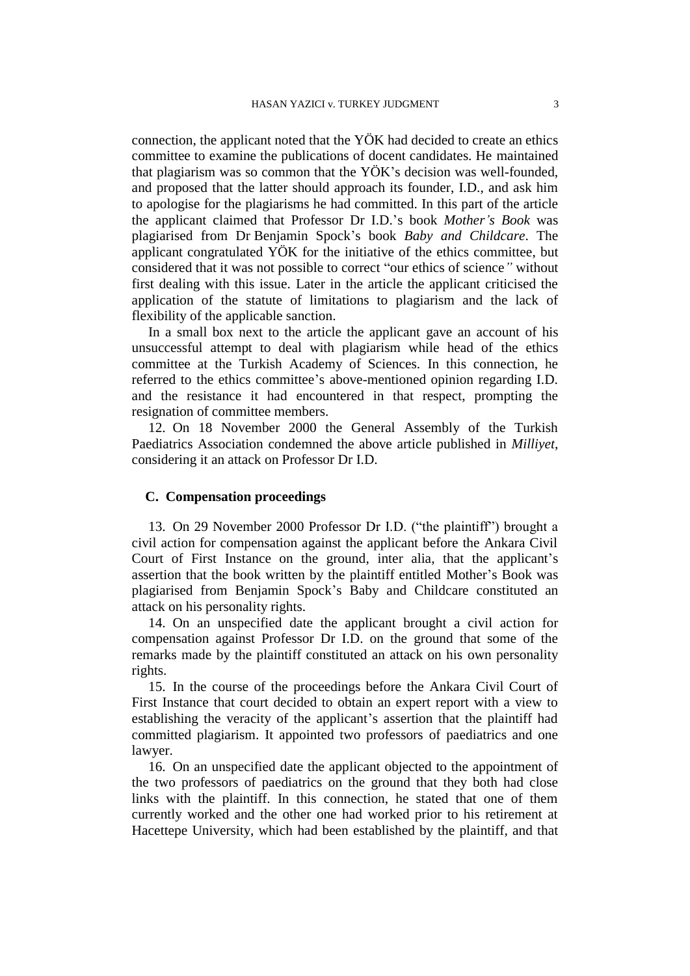connection, the applicant noted that the YÖK had decided to create an ethics committee to examine the publications of docent candidates. He maintained that plagiarism was so common that the YÖK's decision was well-founded, and proposed that the latter should approach its founder, I.D., and ask him to apologise for the plagiarisms he had committed. In this part of the article the applicant claimed that Professor Dr I.D.'s book *Mother's Book* was plagiarised from Dr Benjamin Spock's book *Baby and Childcare*. The applicant congratulated YÖK for the initiative of the ethics committee, but considered that it was not possible to correct "our ethics of science*"* without first dealing with this issue. Later in the article the applicant criticised the application of the statute of limitations to plagiarism and the lack of flexibility of the applicable sanction.

In a small box next to the article the applicant gave an account of his unsuccessful attempt to deal with plagiarism while head of the ethics committee at the Turkish Academy of Sciences. In this connection, he referred to the ethics committee's above-mentioned opinion regarding I.D. and the resistance it had encountered in that respect, prompting the resignation of committee members.

12. On 18 November 2000 the General Assembly of the Turkish Paediatrics Association condemned the above article published in *Milliyet*, considering it an attack on Professor Dr I.D.

### **C. Compensation proceedings**

13. On 29 November 2000 Professor Dr I.D. ("the plaintiff") brought a civil action for compensation against the applicant before the Ankara Civil Court of First Instance on the ground, inter alia, that the applicant's assertion that the book written by the plaintiff entitled Mother's Book was plagiarised from Benjamin Spock's Baby and Childcare constituted an attack on his personality rights.

14. On an unspecified date the applicant brought a civil action for compensation against Professor Dr I.D. on the ground that some of the remarks made by the plaintiff constituted an attack on his own personality rights.

15. In the course of the proceedings before the Ankara Civil Court of First Instance that court decided to obtain an expert report with a view to establishing the veracity of the applicant's assertion that the plaintiff had committed plagiarism. It appointed two professors of paediatrics and one lawyer.

16. On an unspecified date the applicant objected to the appointment of the two professors of paediatrics on the ground that they both had close links with the plaintiff. In this connection, he stated that one of them currently worked and the other one had worked prior to his retirement at Hacettepe University, which had been established by the plaintiff, and that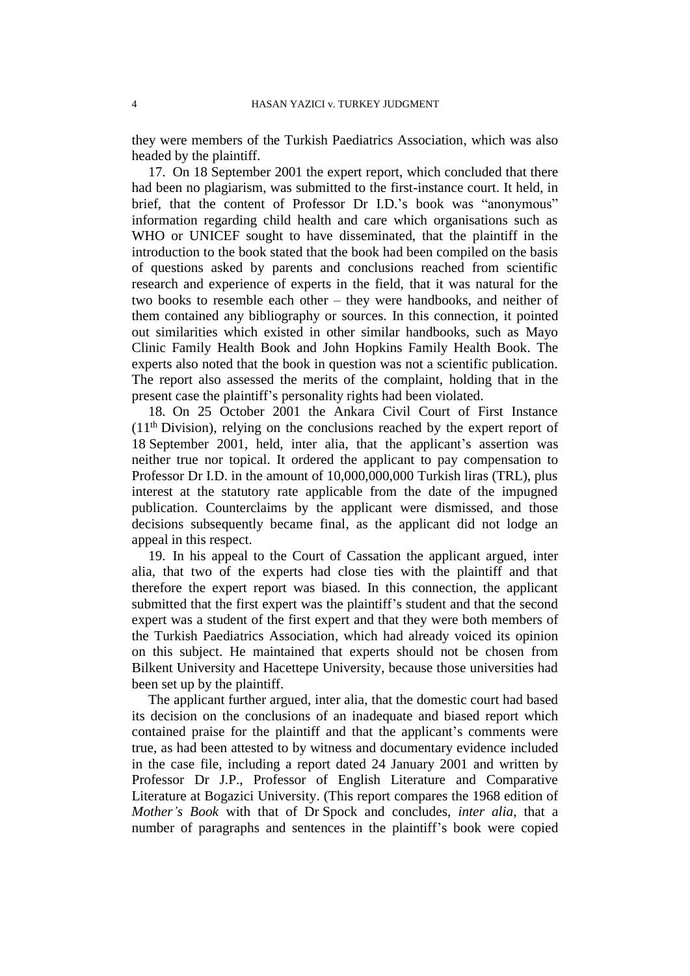they were members of the Turkish Paediatrics Association, which was also headed by the plaintiff.

17. On 18 September 2001 the expert report, which concluded that there had been no plagiarism, was submitted to the first-instance court. It held, in brief, that the content of Professor Dr I.D.'s book was "anonymous" information regarding child health and care which organisations such as WHO or UNICEF sought to have disseminated, that the plaintiff in the introduction to the book stated that the book had been compiled on the basis of questions asked by parents and conclusions reached from scientific research and experience of experts in the field, that it was natural for the two books to resemble each other – they were handbooks, and neither of them contained any bibliography or sources. In this connection, it pointed out similarities which existed in other similar handbooks, such as Mayo Clinic Family Health Book and John Hopkins Family Health Book. The experts also noted that the book in question was not a scientific publication. The report also assessed the merits of the complaint, holding that in the present case the plaintiff's personality rights had been violated.

18. On 25 October 2001 the Ankara Civil Court of First Instance (11th Division), relying on the conclusions reached by the expert report of 18 September 2001, held, inter alia, that the applicant's assertion was neither true nor topical. It ordered the applicant to pay compensation to Professor Dr I.D. in the amount of 10,000,000,000 Turkish liras (TRL), plus interest at the statutory rate applicable from the date of the impugned publication. Counterclaims by the applicant were dismissed, and those decisions subsequently became final, as the applicant did not lodge an appeal in this respect.

19. In his appeal to the Court of Cassation the applicant argued, inter alia, that two of the experts had close ties with the plaintiff and that therefore the expert report was biased. In this connection, the applicant submitted that the first expert was the plaintiff's student and that the second expert was a student of the first expert and that they were both members of the Turkish Paediatrics Association, which had already voiced its opinion on this subject. He maintained that experts should not be chosen from Bilkent University and Hacettepe University, because those universities had been set up by the plaintiff.

The applicant further argued, inter alia, that the domestic court had based its decision on the conclusions of an inadequate and biased report which contained praise for the plaintiff and that the applicant's comments were true, as had been attested to by witness and documentary evidence included in the case file, including a report dated 24 January 2001 and written by Professor Dr J.P., Professor of English Literature and Comparative Literature at Bogazici University. (This report compares the 1968 edition of *Mother's Book* with that of Dr Spock and concludes, *inter alia*, that a number of paragraphs and sentences in the plaintiff's book were copied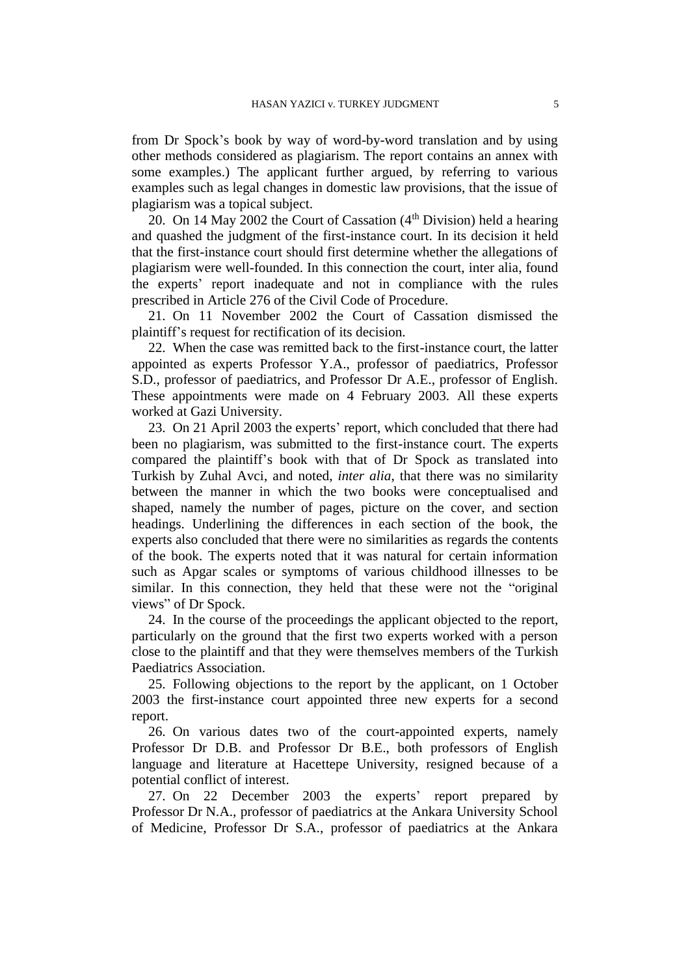from Dr Spock's book by way of word-by-word translation and by using other methods considered as plagiarism. The report contains an annex with some examples.) The applicant further argued, by referring to various examples such as legal changes in domestic law provisions, that the issue of plagiarism was a topical subject.

20. On 14 May 2002 the Court of Cassation  $(4<sup>th</sup> Division)$  held a hearing and quashed the judgment of the first-instance court. In its decision it held that the first-instance court should first determine whether the allegations of plagiarism were well-founded. In this connection the court, inter alia, found the experts' report inadequate and not in compliance with the rules prescribed in Article 276 of the Civil Code of Procedure.

21. On 11 November 2002 the Court of Cassation dismissed the plaintiff's request for rectification of its decision.

22. When the case was remitted back to the first-instance court, the latter appointed as experts Professor Y.A., professor of paediatrics, Professor S.D., professor of paediatrics, and Professor Dr A.E., professor of English. These appointments were made on 4 February 2003. All these experts worked at Gazi University.

23. On 21 April 2003 the experts' report, which concluded that there had been no plagiarism, was submitted to the first-instance court. The experts compared the plaintiff's book with that of Dr Spock as translated into Turkish by Zuhal Avci, and noted, *inter alia*, that there was no similarity between the manner in which the two books were conceptualised and shaped, namely the number of pages, picture on the cover, and section headings. Underlining the differences in each section of the book, the experts also concluded that there were no similarities as regards the contents of the book. The experts noted that it was natural for certain information such as Apgar scales or symptoms of various childhood illnesses to be similar. In this connection, they held that these were not the "original views" of Dr Spock.

24. In the course of the proceedings the applicant objected to the report, particularly on the ground that the first two experts worked with a person close to the plaintiff and that they were themselves members of the Turkish Paediatrics Association.

25. Following objections to the report by the applicant, on 1 October 2003 the first-instance court appointed three new experts for a second report.

26. On various dates two of the court-appointed experts, namely Professor Dr D.B. and Professor Dr B.E., both professors of English language and literature at Hacettepe University, resigned because of a potential conflict of interest.

27. On 22 December 2003 the experts' report prepared by Professor Dr N.A., professor of paediatrics at the Ankara University School of Medicine, Professor Dr S.A., professor of paediatrics at the Ankara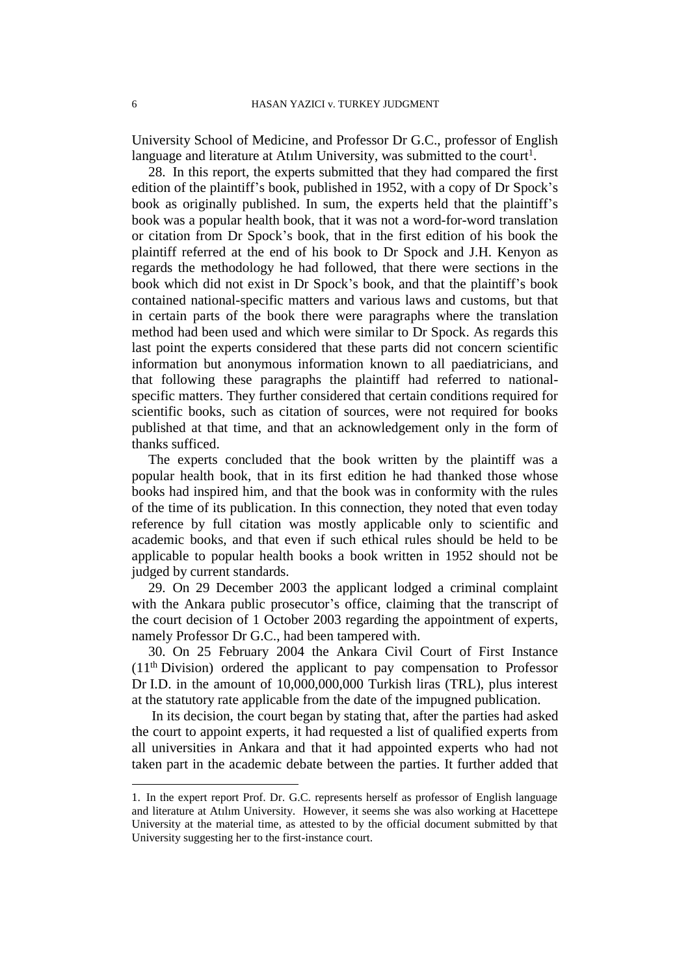University School of Medicine, and Professor Dr G.C., professor of English language and literature at Atılım University, was submitted to the court<sup>1</sup>.

28. In this report, the experts submitted that they had compared the first edition of the plaintiff's book, published in 1952, with a copy of Dr Spock's book as originally published. In sum, the experts held that the plaintiff's book was a popular health book, that it was not a word-for-word translation or citation from Dr Spock's book, that in the first edition of his book the plaintiff referred at the end of his book to Dr Spock and J.H. Kenyon as regards the methodology he had followed, that there were sections in the book which did not exist in Dr Spock's book, and that the plaintiff's book contained national-specific matters and various laws and customs, but that in certain parts of the book there were paragraphs where the translation method had been used and which were similar to Dr Spock. As regards this last point the experts considered that these parts did not concern scientific information but anonymous information known to all paediatricians, and that following these paragraphs the plaintiff had referred to nationalspecific matters. They further considered that certain conditions required for scientific books, such as citation of sources, were not required for books published at that time, and that an acknowledgement only in the form of thanks sufficed.

The experts concluded that the book written by the plaintiff was a popular health book, that in its first edition he had thanked those whose books had inspired him, and that the book was in conformity with the rules of the time of its publication. In this connection, they noted that even today reference by full citation was mostly applicable only to scientific and academic books, and that even if such ethical rules should be held to be applicable to popular health books a book written in 1952 should not be judged by current standards.

29. On 29 December 2003 the applicant lodged a criminal complaint with the Ankara public prosecutor's office, claiming that the transcript of the court decision of 1 October 2003 regarding the appointment of experts, namely Professor Dr G.C., had been tampered with.

30. On 25 February 2004 the Ankara Civil Court of First Instance (11th Division) ordered the applicant to pay compensation to Professor Dr I.D. in the amount of 10,000,000,000 Turkish liras (TRL), plus interest at the statutory rate applicable from the date of the impugned publication.

In its decision, the court began by stating that, after the parties had asked the court to appoint experts, it had requested a list of qualified experts from all universities in Ankara and that it had appointed experts who had not taken part in the academic debate between the parties. It further added that

 $\overline{a}$ 

<sup>1.</sup> In the expert report Prof. Dr. G.C. represents herself as professor of English language and literature at Atılım University. However, it seems she was also working at Hacettepe University at the material time, as attested to by the official document submitted by that University suggesting her to the first-instance court.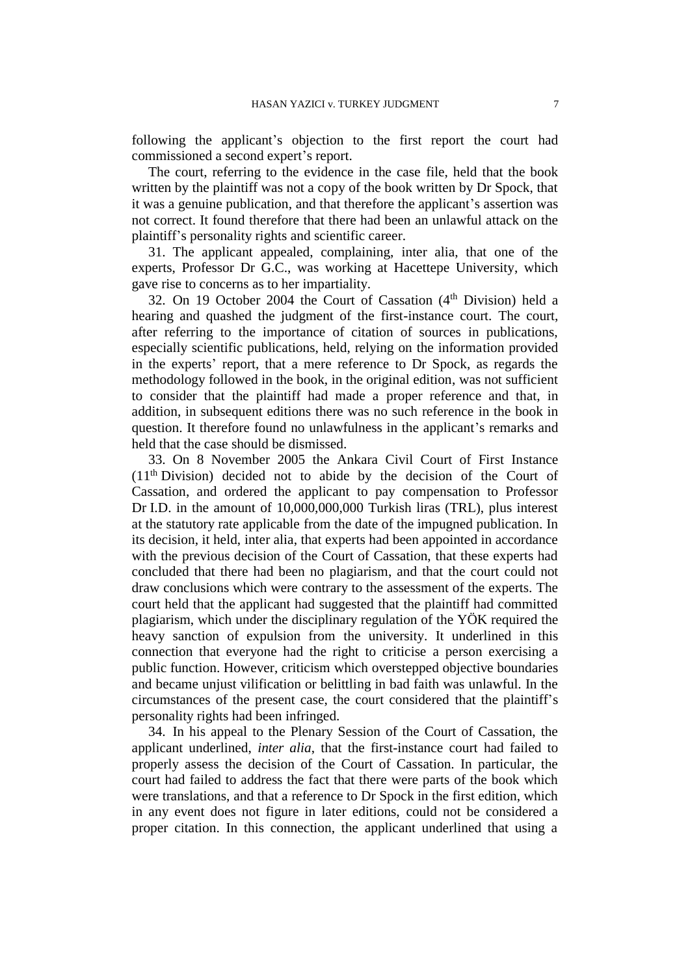following the applicant's objection to the first report the court had commissioned a second expert's report.

The court, referring to the evidence in the case file, held that the book written by the plaintiff was not a copy of the book written by Dr Spock, that it was a genuine publication, and that therefore the applicant's assertion was not correct. It found therefore that there had been an unlawful attack on the plaintiff's personality rights and scientific career.

31. The applicant appealed, complaining, inter alia, that one of the experts, Professor Dr G.C., was working at Hacettepe University, which gave rise to concerns as to her impartiality.

32. On 19 October 2004 the Court of Cassation  $(4<sup>th</sup> Division)$  held a hearing and quashed the judgment of the first-instance court. The court, after referring to the importance of citation of sources in publications, especially scientific publications, held, relying on the information provided in the experts' report, that a mere reference to Dr Spock, as regards the methodology followed in the book, in the original edition, was not sufficient to consider that the plaintiff had made a proper reference and that, in addition, in subsequent editions there was no such reference in the book in question. It therefore found no unlawfulness in the applicant's remarks and held that the case should be dismissed.

33. On 8 November 2005 the Ankara Civil Court of First Instance (11th Division) decided not to abide by the decision of the Court of Cassation, and ordered the applicant to pay compensation to Professor Dr I.D. in the amount of 10,000,000,000 Turkish liras (TRL), plus interest at the statutory rate applicable from the date of the impugned publication. In its decision, it held, inter alia, that experts had been appointed in accordance with the previous decision of the Court of Cassation, that these experts had concluded that there had been no plagiarism, and that the court could not draw conclusions which were contrary to the assessment of the experts. The court held that the applicant had suggested that the plaintiff had committed plagiarism, which under the disciplinary regulation of the YÖK required the heavy sanction of expulsion from the university. It underlined in this connection that everyone had the right to criticise a person exercising a public function. However, criticism which overstepped objective boundaries and became unjust vilification or belittling in bad faith was unlawful. In the circumstances of the present case, the court considered that the plaintiff's personality rights had been infringed.

34. In his appeal to the Plenary Session of the Court of Cassation, the applicant underlined, *inter alia*, that the first-instance court had failed to properly assess the decision of the Court of Cassation. In particular, the court had failed to address the fact that there were parts of the book which were translations, and that a reference to Dr Spock in the first edition, which in any event does not figure in later editions, could not be considered a proper citation. In this connection, the applicant underlined that using a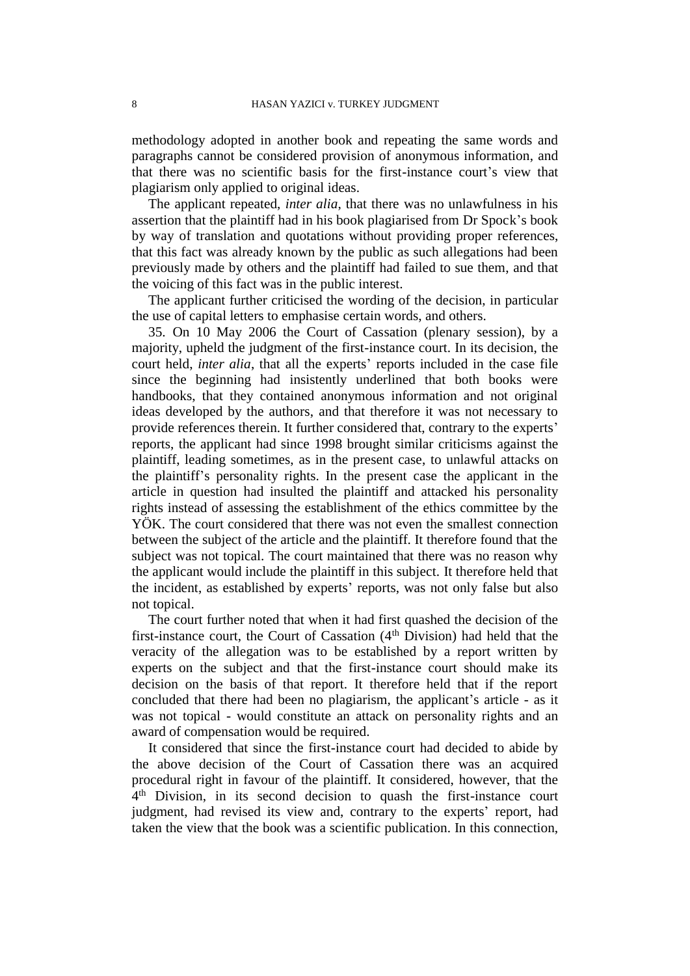methodology adopted in another book and repeating the same words and paragraphs cannot be considered provision of anonymous information, and that there was no scientific basis for the first-instance court's view that plagiarism only applied to original ideas.

The applicant repeated, *inter alia*, that there was no unlawfulness in his assertion that the plaintiff had in his book plagiarised from Dr Spock's book by way of translation and quotations without providing proper references, that this fact was already known by the public as such allegations had been previously made by others and the plaintiff had failed to sue them, and that the voicing of this fact was in the public interest.

The applicant further criticised the wording of the decision, in particular the use of capital letters to emphasise certain words, and others.

35. On 10 May 2006 the Court of Cassation (plenary session), by a majority, upheld the judgment of the first-instance court. In its decision, the court held, *inter alia*, that all the experts' reports included in the case file since the beginning had insistently underlined that both books were handbooks, that they contained anonymous information and not original ideas developed by the authors, and that therefore it was not necessary to provide references therein. It further considered that, contrary to the experts' reports, the applicant had since 1998 brought similar criticisms against the plaintiff, leading sometimes, as in the present case, to unlawful attacks on the plaintiff's personality rights. In the present case the applicant in the article in question had insulted the plaintiff and attacked his personality rights instead of assessing the establishment of the ethics committee by the YÖK. The court considered that there was not even the smallest connection between the subject of the article and the plaintiff. It therefore found that the subject was not topical. The court maintained that there was no reason why the applicant would include the plaintiff in this subject. It therefore held that the incident, as established by experts' reports, was not only false but also not topical.

The court further noted that when it had first quashed the decision of the first-instance court, the Court of Cassation (4<sup>th</sup> Division) had held that the veracity of the allegation was to be established by a report written by experts on the subject and that the first-instance court should make its decision on the basis of that report. It therefore held that if the report concluded that there had been no plagiarism, the applicant's article - as it was not topical - would constitute an attack on personality rights and an award of compensation would be required.

It considered that since the first-instance court had decided to abide by the above decision of the Court of Cassation there was an acquired procedural right in favour of the plaintiff. It considered, however, that the 4<sup>th</sup> Division, in its second decision to quash the first-instance court judgment, had revised its view and, contrary to the experts' report, had taken the view that the book was a scientific publication. In this connection,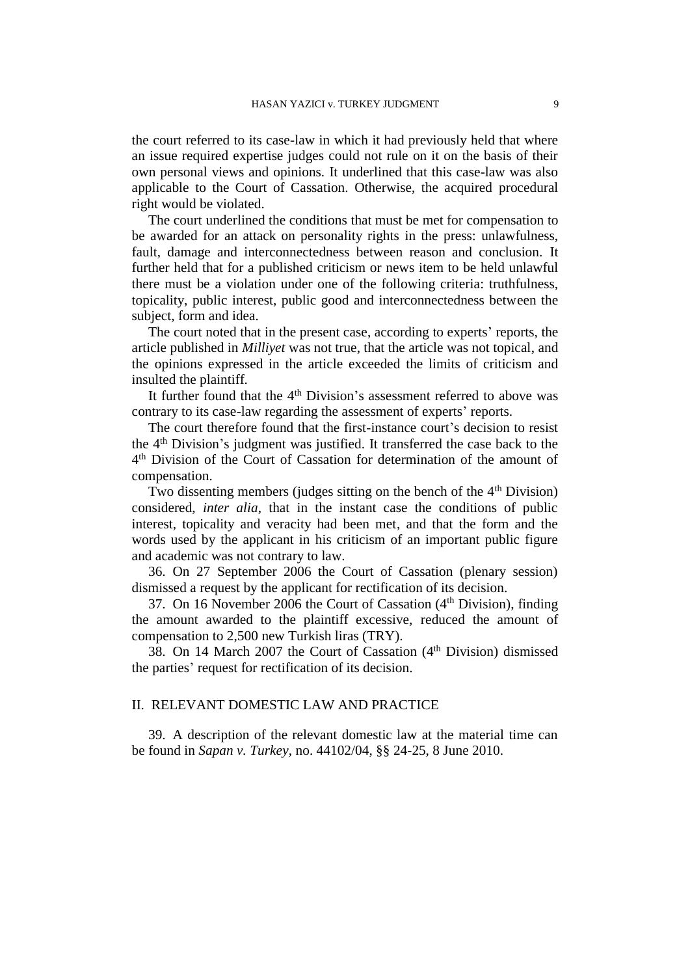the court referred to its case-law in which it had previously held that where an issue required expertise judges could not rule on it on the basis of their own personal views and opinions. It underlined that this case-law was also applicable to the Court of Cassation. Otherwise, the acquired procedural right would be violated.

The court underlined the conditions that must be met for compensation to be awarded for an attack on personality rights in the press: unlawfulness, fault, damage and interconnectedness between reason and conclusion. It further held that for a published criticism or news item to be held unlawful there must be a violation under one of the following criteria: truthfulness, topicality, public interest, public good and interconnectedness between the subject, form and idea.

The court noted that in the present case, according to experts' reports, the article published in *Milliyet* was not true, that the article was not topical, and the opinions expressed in the article exceeded the limits of criticism and insulted the plaintiff.

It further found that the 4<sup>th</sup> Division's assessment referred to above was contrary to its case-law regarding the assessment of experts' reports.

The court therefore found that the first-instance court's decision to resist the 4th Division's judgment was justified. It transferred the case back to the 4 th Division of the Court of Cassation for determination of the amount of compensation.

Two dissenting members (judges sitting on the bench of the 4<sup>th</sup> Division) considered, *inter alia*, that in the instant case the conditions of public interest, topicality and veracity had been met, and that the form and the words used by the applicant in his criticism of an important public figure and academic was not contrary to law.

36. On 27 September 2006 the Court of Cassation (plenary session) dismissed a request by the applicant for rectification of its decision.

37. On 16 November 2006 the Court of Cassation  $(4<sup>th</sup> Division)$ , finding the amount awarded to the plaintiff excessive, reduced the amount of compensation to 2,500 new Turkish liras (TRY).

38. On 14 March 2007 the Court of Cassation  $(4<sup>th</sup> Division)$  dismissed the parties' request for rectification of its decision.

# II. RELEVANT DOMESTIC LAW AND PRACTICE

39. A description of the relevant domestic law at the material time can be found in *Sapan v. Turkey*, no. 44102/04, §§ 24-25, 8 June 2010.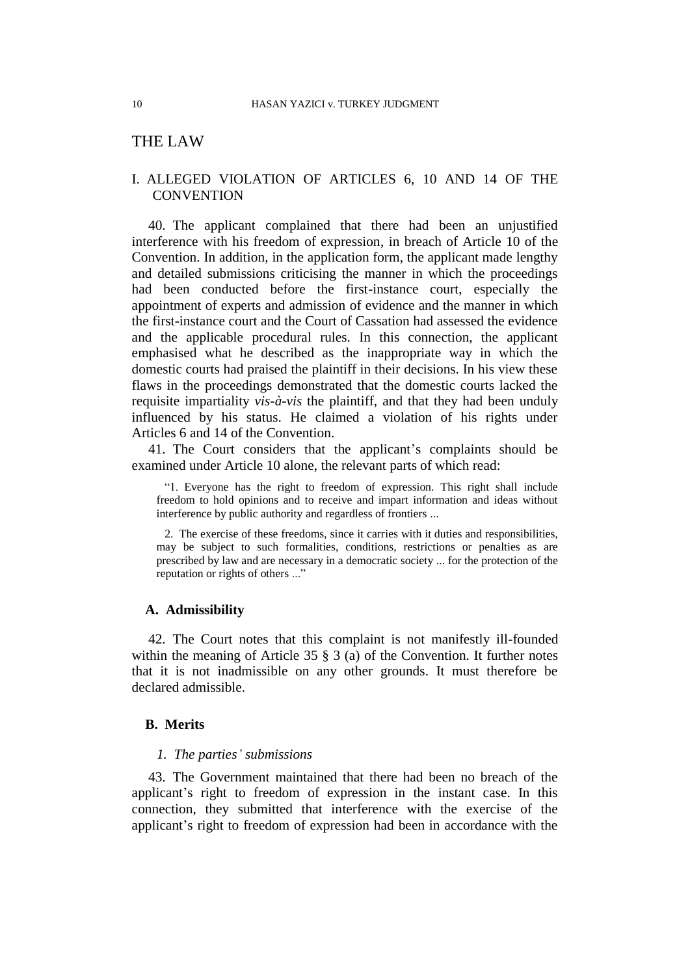# THE LAW

# I. ALLEGED VIOLATION OF ARTICLES 6, 10 AND 14 OF THE **CONVENTION**

40. The applicant complained that there had been an unjustified interference with his freedom of expression, in breach of Article 10 of the Convention. In addition, in the application form, the applicant made lengthy and detailed submissions criticising the manner in which the proceedings had been conducted before the first-instance court, especially the appointment of experts and admission of evidence and the manner in which the first-instance court and the Court of Cassation had assessed the evidence and the applicable procedural rules. In this connection, the applicant emphasised what he described as the inappropriate way in which the domestic courts had praised the plaintiff in their decisions. In his view these flaws in the proceedings demonstrated that the domestic courts lacked the requisite impartiality *vis-à-vis* the plaintiff, and that they had been unduly influenced by his status. He claimed a violation of his rights under Articles 6 and 14 of the Convention.

41. The Court considers that the applicant's complaints should be examined under Article 10 alone, the relevant parts of which read:

"1. Everyone has the right to freedom of expression. This right shall include freedom to hold opinions and to receive and impart information and ideas without interference by public authority and regardless of frontiers ...

2. The exercise of these freedoms, since it carries with it duties and responsibilities, may be subject to such formalities, conditions, restrictions or penalties as are prescribed by law and are necessary in a democratic society ... for the protection of the reputation or rights of others ..."

## **A. Admissibility**

42. The Court notes that this complaint is not manifestly ill-founded within the meaning of Article 35 § 3 (a) of the Convention. It further notes that it is not inadmissible on any other grounds. It must therefore be declared admissible.

## **B. Merits**

#### *1. The parties' submissions*

43. The Government maintained that there had been no breach of the applicant's right to freedom of expression in the instant case. In this connection, they submitted that interference with the exercise of the applicant's right to freedom of expression had been in accordance with the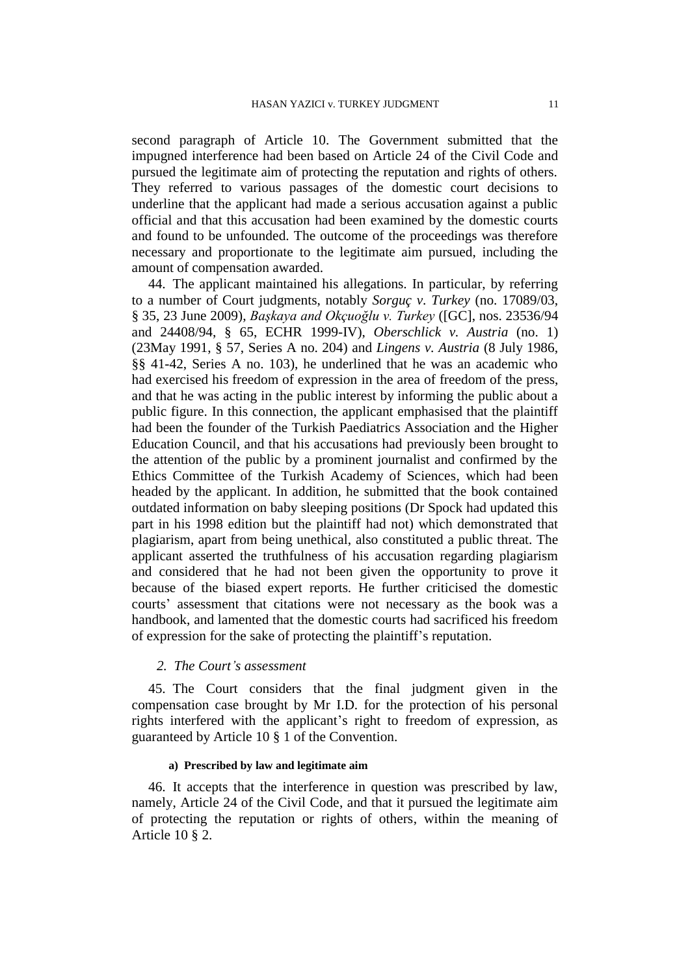second paragraph of Article 10. The Government submitted that the impugned interference had been based on Article 24 of the Civil Code and pursued the legitimate aim of protecting the reputation and rights of others. They referred to various passages of the domestic court decisions to underline that the applicant had made a serious accusation against a public official and that this accusation had been examined by the domestic courts and found to be unfounded. The outcome of the proceedings was therefore necessary and proportionate to the legitimate aim pursued, including the amount of compensation awarded.

44. The applicant maintained his allegations. In particular, by referring to a number of Court judgments, notably *Sorguç v. Turkey* (no. 17089/03, § 35, 23 June 2009), *Başkaya and Okçuoğlu v. Turkey* ([GC], nos. 23536/94 and 24408/94, § 65, ECHR 1999-IV), *Oberschlick v. Austria* (no. 1) (23May 1991, § 57, Series A no. 204) and *Lingens v. Austria* (8 July 1986, §§ 41-42, Series A no. 103), he underlined that he was an academic who had exercised his freedom of expression in the area of freedom of the press, and that he was acting in the public interest by informing the public about a public figure. In this connection, the applicant emphasised that the plaintiff had been the founder of the Turkish Paediatrics Association and the Higher Education Council, and that his accusations had previously been brought to the attention of the public by a prominent journalist and confirmed by the Ethics Committee of the Turkish Academy of Sciences, which had been headed by the applicant. In addition, he submitted that the book contained outdated information on baby sleeping positions (Dr Spock had updated this part in his 1998 edition but the plaintiff had not) which demonstrated that plagiarism, apart from being unethical, also constituted a public threat. The applicant asserted the truthfulness of his accusation regarding plagiarism and considered that he had not been given the opportunity to prove it because of the biased expert reports. He further criticised the domestic courts' assessment that citations were not necessary as the book was a handbook, and lamented that the domestic courts had sacrificed his freedom of expression for the sake of protecting the plaintiff's reputation.

# *2. The Court's assessment*

45. The Court considers that the final judgment given in the compensation case brought by Mr I.D. for the protection of his personal rights interfered with the applicant's right to freedom of expression, as guaranteed by Article 10 § 1 of the Convention.

#### **a) Prescribed by law and legitimate aim**

46. It accepts that the interference in question was prescribed by law, namely, Article 24 of the Civil Code, and that it pursued the legitimate aim of protecting the reputation or rights of others, within the meaning of Article 10 § 2.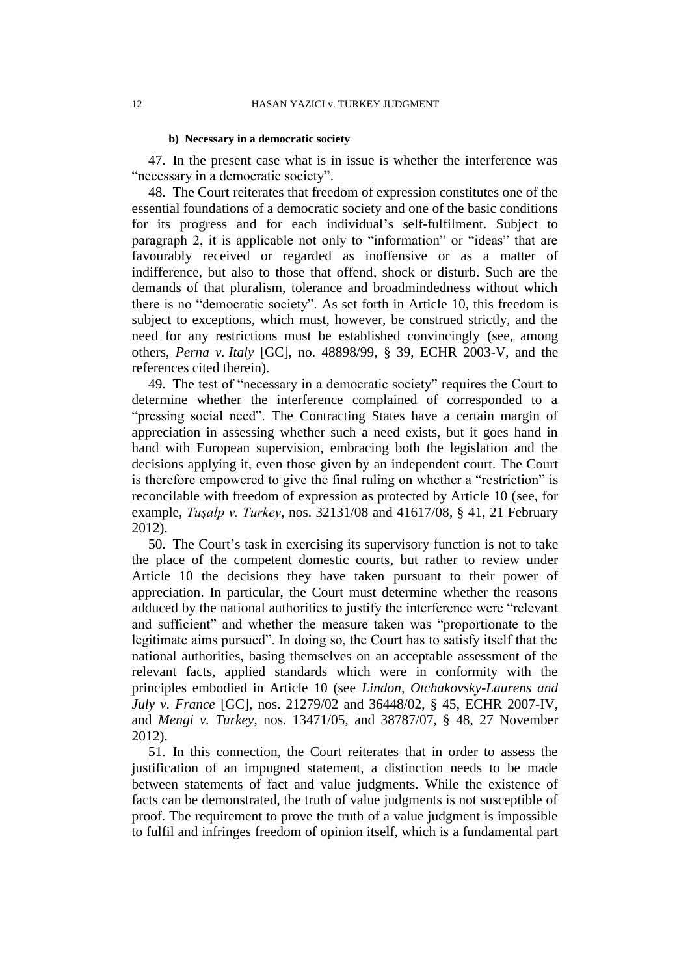#### **b) Necessary in a democratic society**

47. In the present case what is in issue is whether the interference was "necessary in a democratic society".

48. The Court reiterates that freedom of expression constitutes one of the essential foundations of a democratic society and one of the basic conditions for its progress and for each individual's self-fulfilment. Subject to paragraph 2, it is applicable not only to "information" or "ideas" that are favourably received or regarded as inoffensive or as a matter of indifference, but also to those that offend, shock or disturb. Such are the demands of that pluralism, tolerance and broadmindedness without which there is no "democratic society". As set forth in Article 10, this freedom is subject to exceptions, which must, however, be construed strictly, and the need for any restrictions must be established convincingly (see, among others, *Perna v. Italy* [GC], no. 48898/99, § 39, ECHR 2003-V, and the references cited therein).

49. The test of "necessary in a democratic society" requires the Court to determine whether the interference complained of corresponded to a "pressing social need". The Contracting States have a certain margin of appreciation in assessing whether such a need exists, but it goes hand in hand with European supervision, embracing both the legislation and the decisions applying it, even those given by an independent court. The Court is therefore empowered to give the final ruling on whether a "restriction" is reconcilable with freedom of expression as protected by Article 10 (see, for example, *Tuşalp v. Turkey*, nos. 32131/08 and 41617/08, § 41, 21 February 2012).

50. The Court's task in exercising its supervisory function is not to take the place of the competent domestic courts, but rather to review under Article 10 the decisions they have taken pursuant to their power of appreciation. In particular, the Court must determine whether the reasons adduced by the national authorities to justify the interference were "relevant and sufficient" and whether the measure taken was "proportionate to the legitimate aims pursued". In doing so, the Court has to satisfy itself that the national authorities, basing themselves on an acceptable assessment of the relevant facts, applied standards which were in conformity with the principles embodied in Article 10 (see *Lindon, Otchakovsky-Laurens and July v. France* [GC], nos. 21279/02 and 36448/02, § 45, ECHR 2007-IV, and *Mengi v. Turkey*, nos. 13471/05, and 38787/07, § 48, 27 November 2012).

51. In this connection, the Court reiterates that in order to assess the justification of an impugned statement, a distinction needs to be made between statements of fact and value judgments. While the existence of facts can be demonstrated, the truth of value judgments is not susceptible of proof. The requirement to prove the truth of a value judgment is impossible to fulfil and infringes freedom of opinion itself, which is a fundamental part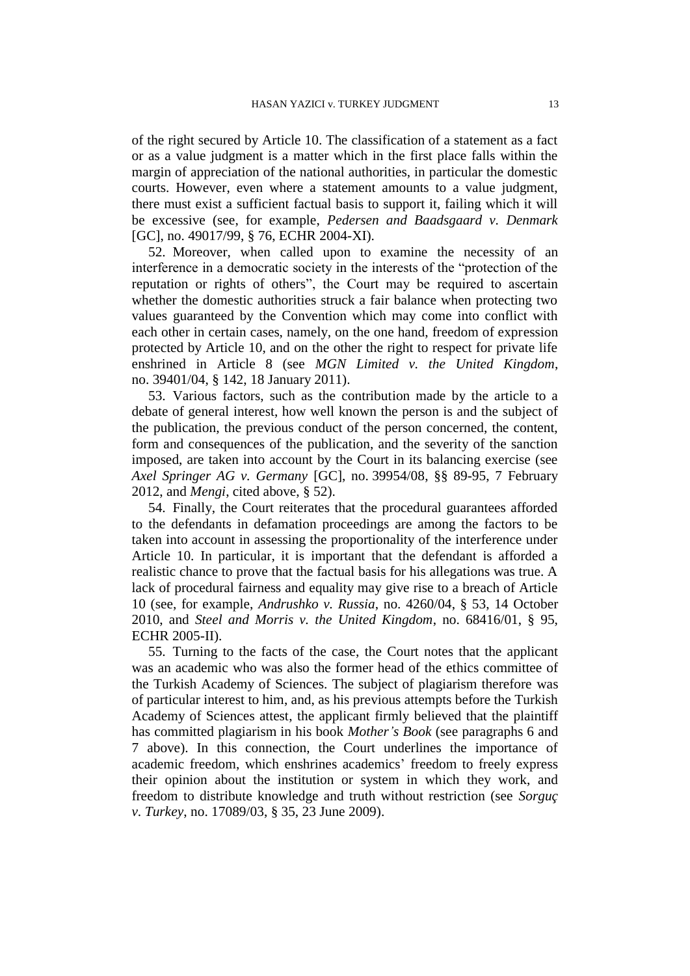of the right secured by Article 10. The classification of a statement as a fact or as a value judgment is a matter which in the first place falls within the margin of appreciation of the national authorities, in particular the domestic courts. However, even where a statement amounts to a value judgment, there must exist a sufficient factual basis to support it, failing which it will be excessive (see, for example, *Pedersen and Baadsgaard v. Denmark*  [GC], no. 49017/99, § 76, ECHR 2004-XI).

52. Moreover, when called upon to examine the necessity of an interference in a democratic society in the interests of the "protection of the reputation or rights of others", the Court may be required to ascertain whether the domestic authorities struck a fair balance when protecting two values guaranteed by the Convention which may come into conflict with each other in certain cases, namely, on the one hand, freedom of expression protected by Article 10, and on the other the right to respect for private life enshrined in Article 8 (see *MGN Limited v. the United Kingdom*, no. 39401/04, § 142, 18 January 2011).

53. Various factors, such as the contribution made by the article to a debate of general interest, how well known the person is and the subject of the publication, the previous conduct of the person concerned, the content, form and consequences of the publication, and the severity of the sanction imposed, are taken into account by the Court in its balancing exercise (see *Axel Springer AG v. Germany* [GC], no. 39954/08, §§ 89-95, 7 February 2012, and *Mengi*, cited above, § 52).

54. Finally, the Court reiterates that the procedural guarantees afforded to the defendants in defamation proceedings are among the factors to be taken into account in assessing the proportionality of the interference under Article 10. In particular, it is important that the defendant is afforded a realistic chance to prove that the factual basis for his allegations was true. A lack of procedural fairness and equality may give rise to a breach of Article 10 (see, for example, *Andrushko v. Russia*, no. 4260/04, § 53, 14 October 2010, and *Steel and Morris v. the United Kingdom*, no. 68416/01, § 95, ECHR 2005-II).

55. Turning to the facts of the case, the Court notes that the applicant was an academic who was also the former head of the ethics committee of the Turkish Academy of Sciences. The subject of plagiarism therefore was of particular interest to him, and, as his previous attempts before the Turkish Academy of Sciences attest, the applicant firmly believed that the plaintiff has committed plagiarism in his book *Mother's Book* (see paragraphs 6 and 7 above). In this connection, the Court underlines the importance of academic freedom, which enshrines academics' freedom to freely express their opinion about the institution or system in which they work, and freedom to distribute knowledge and truth without restriction (see *Sorguç v. Turkey*, no. 17089/03, § 35, 23 June 2009).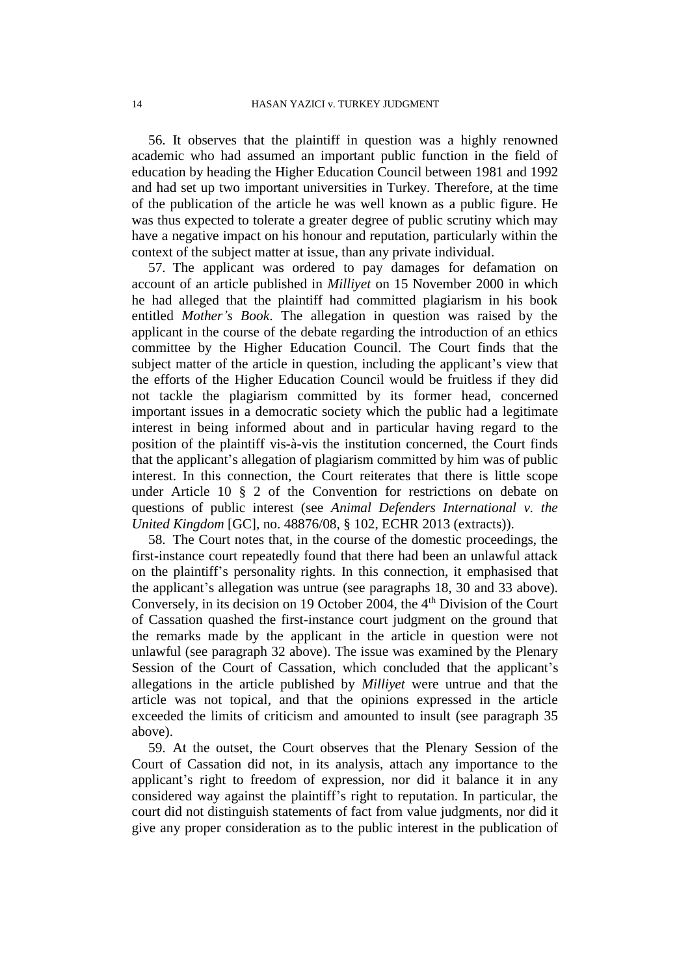56. It observes that the plaintiff in question was a highly renowned academic who had assumed an important public function in the field of education by heading the Higher Education Council between 1981 and 1992 and had set up two important universities in Turkey. Therefore, at the time of the publication of the article he was well known as a public figure. He was thus expected to tolerate a greater degree of public scrutiny which may have a negative impact on his honour and reputation, particularly within the context of the subject matter at issue, than any private individual.

57. The applicant was ordered to pay damages for defamation on account of an article published in *Milliyet* on 15 November 2000 in which he had alleged that the plaintiff had committed plagiarism in his book entitled *Mother's Book*. The allegation in question was raised by the applicant in the course of the debate regarding the introduction of an ethics committee by the Higher Education Council. The Court finds that the subject matter of the article in question, including the applicant's view that the efforts of the Higher Education Council would be fruitless if they did not tackle the plagiarism committed by its former head, concerned important issues in a democratic society which the public had a legitimate interest in being informed about and in particular having regard to the position of the plaintiff vis-à-vis the institution concerned, the Court finds that the applicant's allegation of plagiarism committed by him was of public interest. In this connection, the Court reiterates that there is little scope under Article 10 § 2 of the Convention for restrictions on debate on questions of public interest (see *Animal Defenders International v. the United Kingdom* [GC], no. 48876/08, § 102, ECHR 2013 (extracts)).

58. The Court notes that, in the course of the domestic proceedings, the first-instance court repeatedly found that there had been an unlawful attack on the plaintiff's personality rights. In this connection, it emphasised that the applicant's allegation was untrue (see paragraphs 18, 30 and 33 above). Conversely, in its decision on 19 October 2004, the 4<sup>th</sup> Division of the Court of Cassation quashed the first-instance court judgment on the ground that the remarks made by the applicant in the article in question were not unlawful (see paragraph 32 above). The issue was examined by the Plenary Session of the Court of Cassation, which concluded that the applicant's allegations in the article published by *Milliyet* were untrue and that the article was not topical, and that the opinions expressed in the article exceeded the limits of criticism and amounted to insult (see paragraph 35 above).

59. At the outset, the Court observes that the Plenary Session of the Court of Cassation did not, in its analysis, attach any importance to the applicant's right to freedom of expression, nor did it balance it in any considered way against the plaintiff's right to reputation. In particular, the court did not distinguish statements of fact from value judgments, nor did it give any proper consideration as to the public interest in the publication of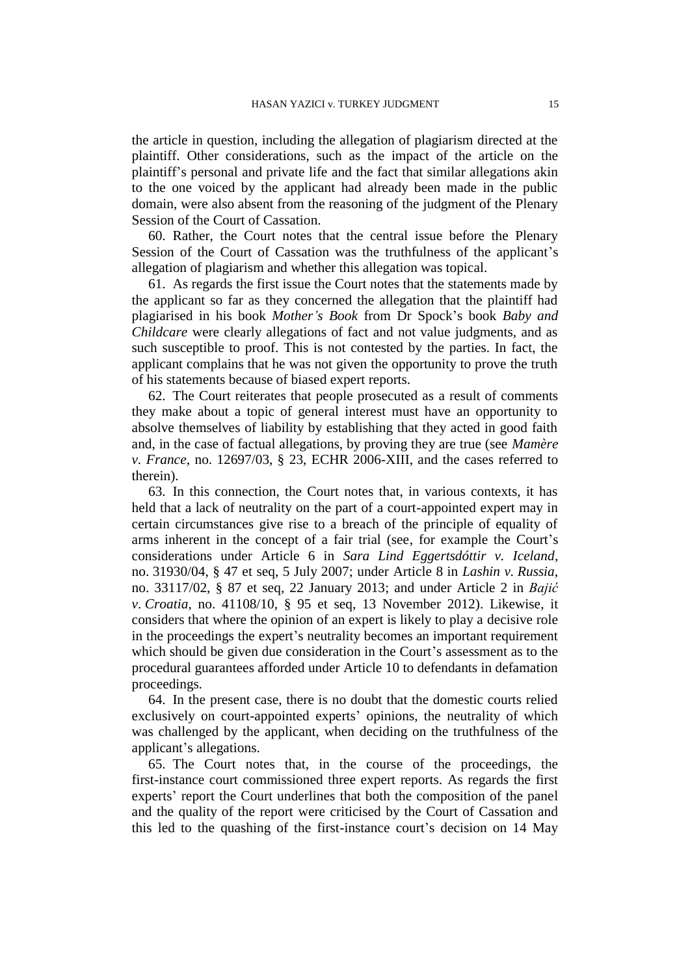the article in question, including the allegation of plagiarism directed at the plaintiff. Other considerations, such as the impact of the article on the plaintiff's personal and private life and the fact that similar allegations akin to the one voiced by the applicant had already been made in the public domain, were also absent from the reasoning of the judgment of the Plenary Session of the Court of Cassation.

60. Rather, the Court notes that the central issue before the Plenary Session of the Court of Cassation was the truthfulness of the applicant's allegation of plagiarism and whether this allegation was topical.

61. As regards the first issue the Court notes that the statements made by the applicant so far as they concerned the allegation that the plaintiff had plagiarised in his book *Mother's Book* from Dr Spock's book *Baby and Childcare* were clearly allegations of fact and not value judgments, and as such susceptible to proof. This is not contested by the parties. In fact, the applicant complains that he was not given the opportunity to prove the truth of his statements because of biased expert reports.

62. The Court reiterates that people prosecuted as a result of comments they make about a topic of general interest must have an opportunity to absolve themselves of liability by establishing that they acted in good faith and, in the case of factual allegations, by proving they are true (see *Mamère v. France*, no. 12697/03, § 23, ECHR 2006-XIII, and the cases referred to therein).

63. In this connection, the Court notes that, in various contexts, it has held that a lack of neutrality on the part of a court-appointed expert may in certain circumstances give rise to a breach of the principle of equality of arms inherent in the concept of a fair trial (see, for example the Court's considerations under Article 6 in *Sara Lind Eggertsdóttir v. Iceland*, no. 31930/04, § 47 et seq, 5 July 2007; under Article 8 in *Lashin v. Russia*, no. 33117/02, § 87 et seq, 22 January 2013; and under Article 2 in *Bajić v. Croatia*, no. 41108/10, § 95 et seq, 13 November 2012). Likewise, it considers that where the opinion of an expert is likely to play a decisive role in the proceedings the expert's neutrality becomes an important requirement which should be given due consideration in the Court's assessment as to the procedural guarantees afforded under Article 10 to defendants in defamation proceedings.

64. In the present case, there is no doubt that the domestic courts relied exclusively on court-appointed experts' opinions, the neutrality of which was challenged by the applicant, when deciding on the truthfulness of the applicant's allegations.

65. The Court notes that, in the course of the proceedings, the first-instance court commissioned three expert reports. As regards the first experts' report the Court underlines that both the composition of the panel and the quality of the report were criticised by the Court of Cassation and this led to the quashing of the first-instance court's decision on 14 May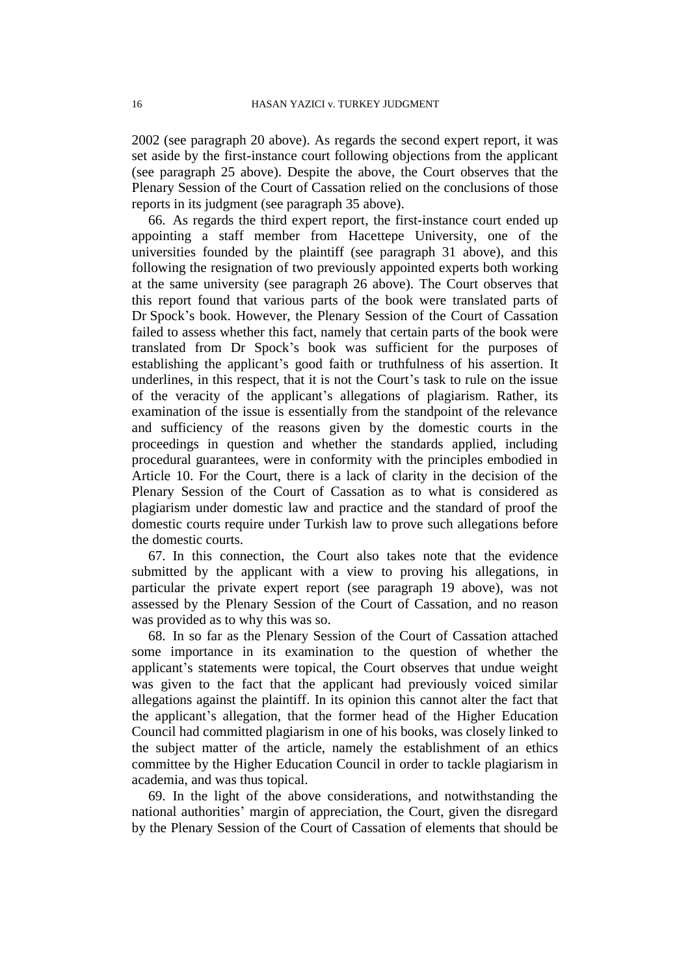2002 (see paragraph 20 above). As regards the second expert report, it was set aside by the first-instance court following objections from the applicant (see paragraph 25 above). Despite the above, the Court observes that the Plenary Session of the Court of Cassation relied on the conclusions of those reports in its judgment (see paragraph 35 above).

66. As regards the third expert report, the first-instance court ended up appointing a staff member from Hacettepe University, one of the universities founded by the plaintiff (see paragraph 31 above), and this following the resignation of two previously appointed experts both working at the same university (see paragraph 26 above). The Court observes that this report found that various parts of the book were translated parts of Dr Spock's book. However, the Plenary Session of the Court of Cassation failed to assess whether this fact, namely that certain parts of the book were translated from Dr Spock's book was sufficient for the purposes of establishing the applicant's good faith or truthfulness of his assertion. It underlines, in this respect, that it is not the Court's task to rule on the issue of the veracity of the applicant's allegations of plagiarism. Rather, its examination of the issue is essentially from the standpoint of the relevance and sufficiency of the reasons given by the domestic courts in the proceedings in question and whether the standards applied, including procedural guarantees, were in conformity with the principles embodied in Article 10. For the Court, there is a lack of clarity in the decision of the Plenary Session of the Court of Cassation as to what is considered as plagiarism under domestic law and practice and the standard of proof the domestic courts require under Turkish law to prove such allegations before the domestic courts.

67. In this connection, the Court also takes note that the evidence submitted by the applicant with a view to proving his allegations, in particular the private expert report (see paragraph 19 above), was not assessed by the Plenary Session of the Court of Cassation, and no reason was provided as to why this was so.

68. In so far as the Plenary Session of the Court of Cassation attached some importance in its examination to the question of whether the applicant's statements were topical, the Court observes that undue weight was given to the fact that the applicant had previously voiced similar allegations against the plaintiff. In its opinion this cannot alter the fact that the applicant's allegation, that the former head of the Higher Education Council had committed plagiarism in one of his books, was closely linked to the subject matter of the article, namely the establishment of an ethics committee by the Higher Education Council in order to tackle plagiarism in academia, and was thus topical.

69. In the light of the above considerations, and notwithstanding the national authorities' margin of appreciation, the Court, given the disregard by the Plenary Session of the Court of Cassation of elements that should be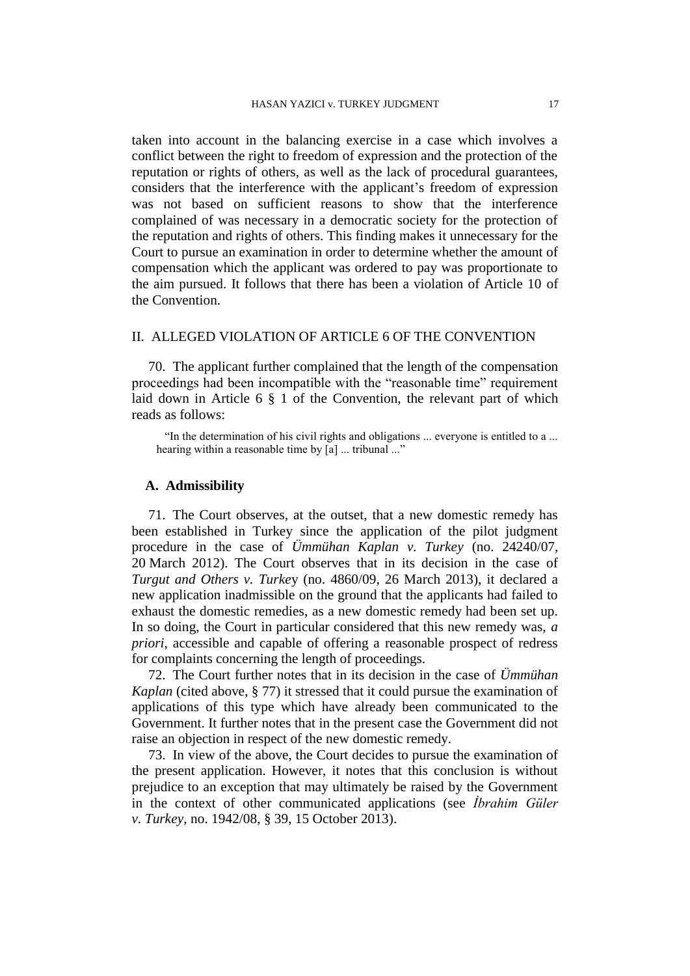taken into account in the balancing exercise in a case which involves a conflict between the right to freedom of expression and the protection of the reputation or rights of others, as well as the lack of procedural guarantees, considers that the interference with the applicant's freedom of expression was not based on sufficient reasons to show that the interference complained of was necessary in a democratic society for the protection of the reputation and rights of others. This finding makes it unnecessary for the Court to pursue an examination in order to determine whether the amount of compensation which the applicant was ordered to pay was proportionate to the aim pursued. It follows that there has been a violation of Article 10 of the Convention.

# II. ALLEGED VIOLATION OF ARTICLE 6 OF THE CONVENTION

70. The applicant further complained that the length of the compensation proceedings had been incompatible with the "reasonable time" requirement laid down in Article 6 § 1 of the Convention, the relevant part of which reads as follows:

"In the determination of his civil rights and obligations ... everyone is entitled to a ... hearing within a reasonable time by [a] ... tribunal ..."

#### **A. Admissibility**

71. The Court observes, at the outset, that a new domestic remedy has been established in Turkey since the application of the pilot judgment procedure in the case of *Ümmühan Kaplan v. Turkey* (no. 24240/07, 20 March 2012). The Court observes that in its decision in the case of *Turgut and Others v. Turke*y (no. 4860/09, 26 March 2013), it declared a new application inadmissible on the ground that the applicants had failed to exhaust the domestic remedies, as a new domestic remedy had been set up. In so doing, the Court in particular considered that this new remedy was, *a priori,* accessible and capable of offering a reasonable prospect of redress for complaints concerning the length of proceedings.

72. The Court further notes that in its decision in the case of *Ümmühan Kaplan* (cited above, § 77) it stressed that it could pursue the examination of applications of this type which have already been communicated to the Government. It further notes that in the present case the Government did not raise an objection in respect of the new domestic remedy.

73. In view of the above, the Court decides to pursue the examination of the present application. However, it notes that this conclusion is without prejudice to an exception that may ultimately be raised by the Government in the context of other communicated applications (see *İbrahim Güler v. Turkey*, no. 1942/08, § 39, 15 October 2013).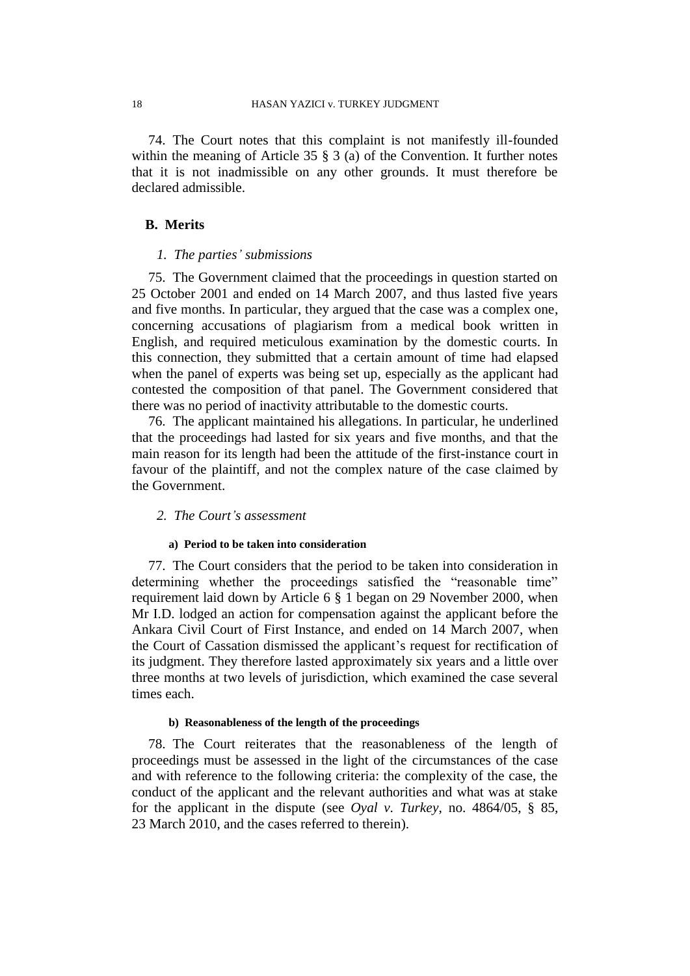74.The Court notes that this complaint is not manifestly ill-founded within the meaning of Article 35 § 3 (a) of the Convention. It further notes that it is not inadmissible on any other grounds. It must therefore be declared admissible.

## **B. Merits**

#### *1. The parties' submissions*

75. The Government claimed that the proceedings in question started on 25 October 2001 and ended on 14 March 2007, and thus lasted five years and five months. In particular, they argued that the case was a complex one, concerning accusations of plagiarism from a medical book written in English, and required meticulous examination by the domestic courts. In this connection, they submitted that a certain amount of time had elapsed when the panel of experts was being set up, especially as the applicant had contested the composition of that panel. The Government considered that there was no period of inactivity attributable to the domestic courts.

76. The applicant maintained his allegations. In particular, he underlined that the proceedings had lasted for six years and five months, and that the main reason for its length had been the attitude of the first-instance court in favour of the plaintiff, and not the complex nature of the case claimed by the Government.

## *2. The Court's assessment*

#### **a) Period to be taken into consideration**

77. The Court considers that the period to be taken into consideration in determining whether the proceedings satisfied the "reasonable time" requirement laid down by Article 6 § 1 began on 29 November 2000, when Mr I.D. lodged an action for compensation against the applicant before the Ankara Civil Court of First Instance, and ended on 14 March 2007, when the Court of Cassation dismissed the applicant's request for rectification of its judgment. They therefore lasted approximately six years and a little over three months at two levels of jurisdiction, which examined the case several times each.

### **b) Reasonableness of the length of the proceedings**

78. The Court reiterates that the reasonableness of the length of proceedings must be assessed in the light of the circumstances of the case and with reference to the following criteria: the complexity of the case, the conduct of the applicant and the relevant authorities and what was at stake for the applicant in the dispute (see *Oyal v. Turkey*, no. 4864/05, § 85, 23 March 2010, and the cases referred to therein).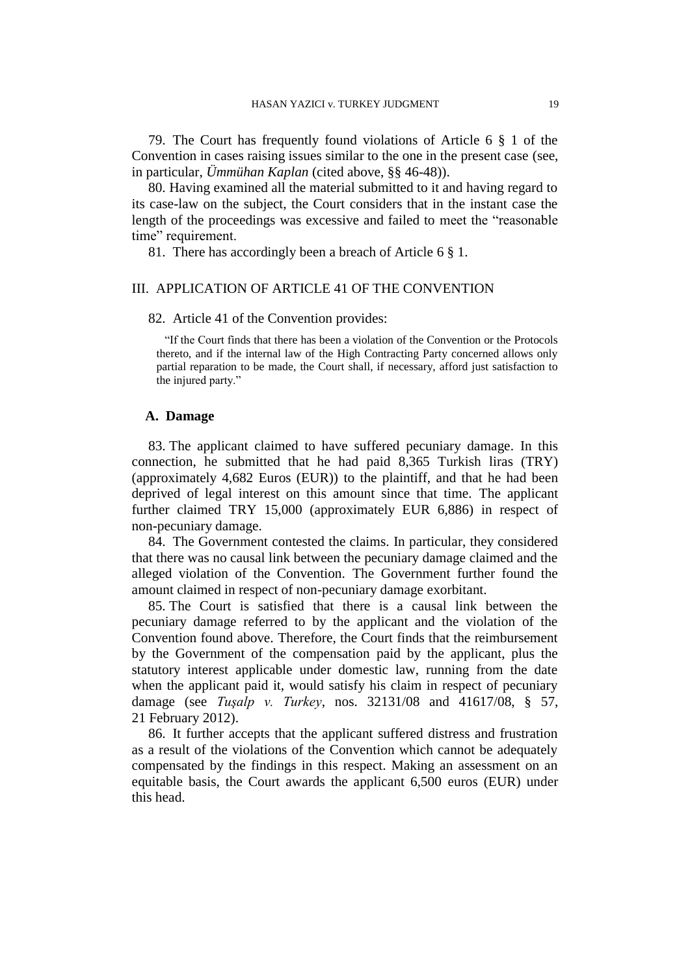79. The Court has frequently found violations of Article 6 § 1 of the Convention in cases raising issues similar to the one in the present case (see, in particular, *Ümmühan Kaplan* (cited above, §§ 46-48)).

80. Having examined all the material submitted to it and having regard to its case-law on the subject, the Court considers that in the instant case the length of the proceedings was excessive and failed to meet the "reasonable time" requirement.

81. There has accordingly been a breach of Article 6 § 1.

## III. APPLICATION OF ARTICLE 41 OF THE CONVENTION

#### 82. Article 41 of the Convention provides:

"If the Court finds that there has been a violation of the Convention or the Protocols thereto, and if the internal law of the High Contracting Party concerned allows only partial reparation to be made, the Court shall, if necessary, afford just satisfaction to the injured party."

## **A. Damage**

83. The applicant claimed to have suffered pecuniary damage. In this connection, he submitted that he had paid 8,365 Turkish liras (TRY) (approximately 4,682 Euros (EUR)) to the plaintiff, and that he had been deprived of legal interest on this amount since that time. The applicant further claimed TRY 15,000 (approximately EUR 6,886) in respect of non-pecuniary damage.

84. The Government contested the claims. In particular, they considered that there was no causal link between the pecuniary damage claimed and the alleged violation of the Convention. The Government further found the amount claimed in respect of non-pecuniary damage exorbitant.

85. The Court is satisfied that there is a causal link between the pecuniary damage referred to by the applicant and the violation of the Convention found above. Therefore, the Court finds that the reimbursement by the Government of the compensation paid by the applicant, plus the statutory interest applicable under domestic law, running from the date when the applicant paid it, would satisfy his claim in respect of pecuniary damage (see *Tuşalp v. Turkey*, nos. 32131/08 and 41617/08, § 57, 21 February 2012).

86. It further accepts that the applicant suffered distress and frustration as a result of the violations of the Convention which cannot be adequately compensated by the findings in this respect. Making an assessment on an equitable basis, the Court awards the applicant 6,500 euros (EUR) under this head.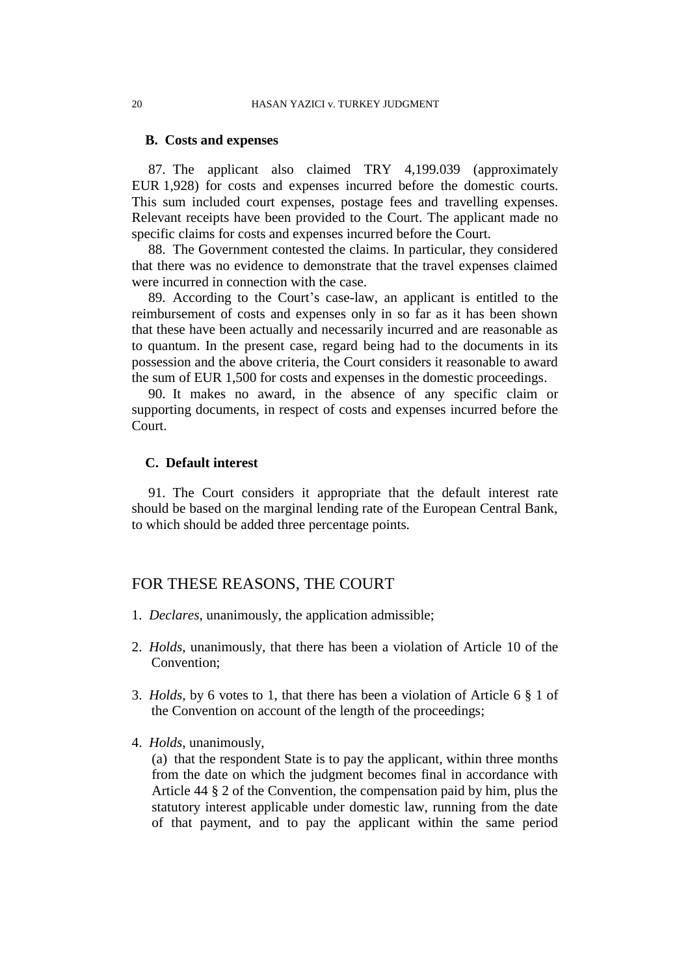## **B. Costs and expenses**

87. The applicant also claimed TRY 4,199.039 (approximately EUR 1,928) for costs and expenses incurred before the domestic courts. This sum included court expenses, postage fees and travelling expenses. Relevant receipts have been provided to the Court. The applicant made no specific claims for costs and expenses incurred before the Court.

88. The Government contested the claims. In particular, they considered that there was no evidence to demonstrate that the travel expenses claimed were incurred in connection with the case.

89. According to the Court's case-law, an applicant is entitled to the reimbursement of costs and expenses only in so far as it has been shown that these have been actually and necessarily incurred and are reasonable as to quantum. In the present case, regard being had to the documents in its possession and the above criteria, the Court considers it reasonable to award the sum of EUR 1,500 for costs and expenses in the domestic proceedings.

90. It makes no award, in the absence of any specific claim or supporting documents, in respect of costs and expenses incurred before the Court.

# **C. Default interest**

91. The Court considers it appropriate that the default interest rate should be based on the marginal lending rate of the European Central Bank, to which should be added three percentage points.

# FOR THESE REASONS, THE COURT

- 1. *Declares*, unanimously, the application admissible;
- 2. *Holds*, unanimously, that there has been a violation of Article 10 of the Convention;
- 3. *Holds*, by 6 votes to 1, that there has been a violation of Article 6 § 1 of the Convention on account of the length of the proceedings;
- 4. *Holds*, unanimously,

(a) that the respondent State is to pay the applicant, within three months from the date on which the judgment becomes final in accordance with Article 44 § 2 of the Convention, the compensation paid by him, plus the statutory interest applicable under domestic law, running from the date of that payment, and to pay the applicant within the same period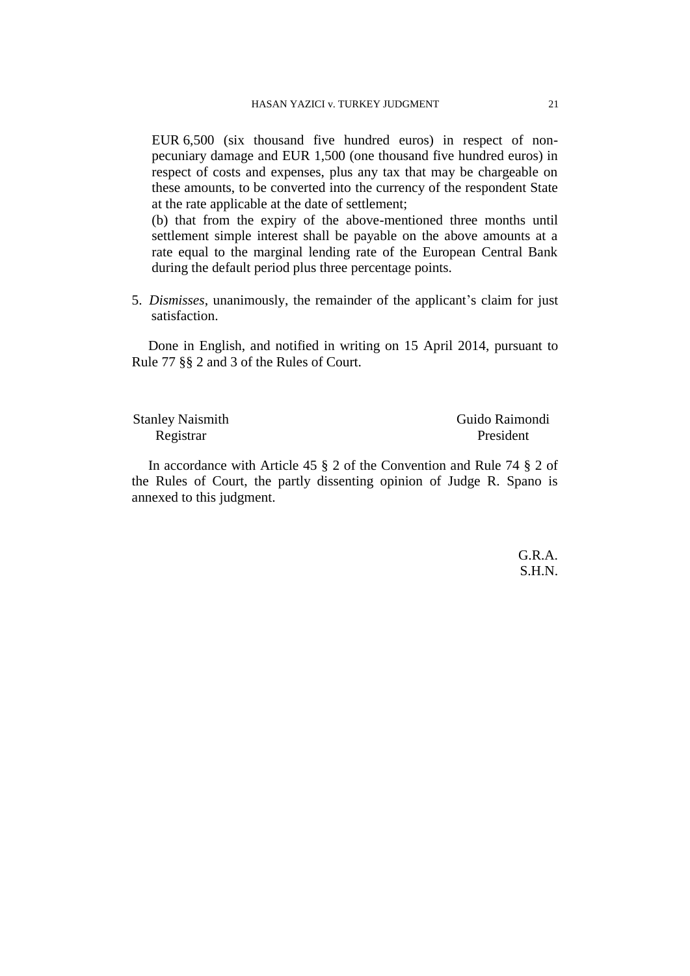EUR 6,500 (six thousand five hundred euros) in respect of nonpecuniary damage and EUR 1,500 (one thousand five hundred euros) in respect of costs and expenses, plus any tax that may be chargeable on these amounts, to be converted into the currency of the respondent State at the rate applicable at the date of settlement;

(b) that from the expiry of the above-mentioned three months until settlement simple interest shall be payable on the above amounts at a rate equal to the marginal lending rate of the European Central Bank during the default period plus three percentage points.

5. *Dismisses*, unanimously, the remainder of the applicant's claim for just satisfaction.

Done in English, and notified in writing on 15 April 2014, pursuant to Rule 77 §§ 2 and 3 of the Rules of Court.

Registrar President

Stanley Naismith Guido Raimondi

In accordance with Article 45 § 2 of the Convention and Rule 74 § 2 of the Rules of Court, the partly dissenting opinion of Judge R. Spano is annexed to this judgment.

> G.R.A. S.H.N.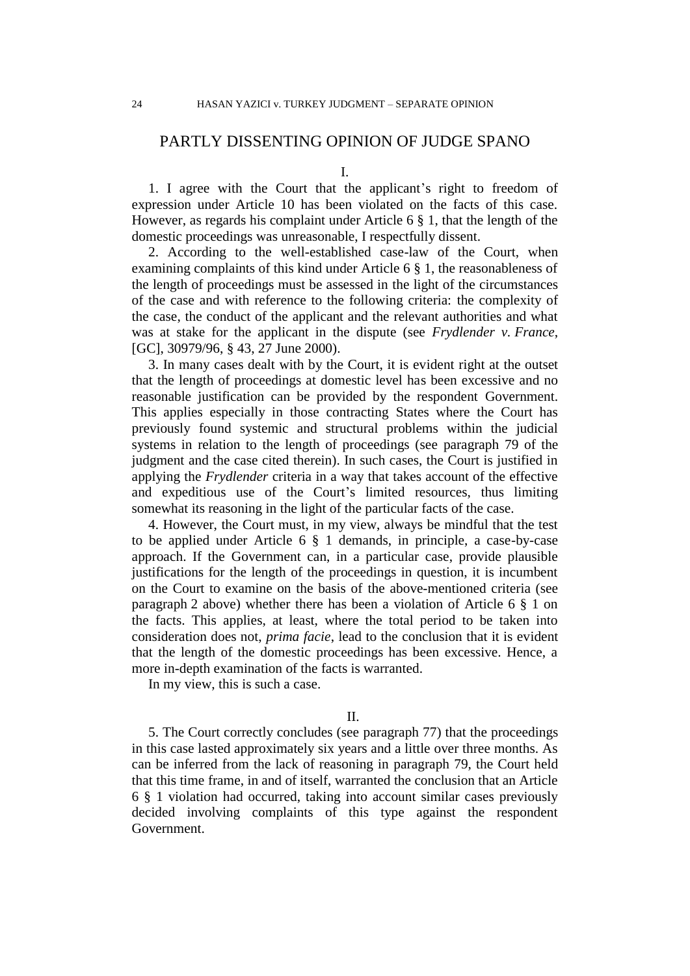# PARTLY DISSENTING OPINION OF JUDGE SPANO

I.

1. I agree with the Court that the applicant's right to freedom of expression under Article 10 has been violated on the facts of this case. However, as regards his complaint under Article 6 § 1, that the length of the domestic proceedings was unreasonable, I respectfully dissent.

2. According to the well-established case-law of the Court, when examining complaints of this kind under Article 6 § 1, the reasonableness of the length of proceedings must be assessed in the light of the circumstances of the case and with reference to the following criteria: the complexity of the case, the conduct of the applicant and the relevant authorities and what was at stake for the applicant in the dispute (see *Frydlender v. France*, [GC], 30979/96, § 43, 27 June 2000).

3. In many cases dealt with by the Court, it is evident right at the outset that the length of proceedings at domestic level has been excessive and no reasonable justification can be provided by the respondent Government. This applies especially in those contracting States where the Court has previously found systemic and structural problems within the judicial systems in relation to the length of proceedings (see paragraph 79 of the judgment and the case cited therein). In such cases, the Court is justified in applying the *Frydlender* criteria in a way that takes account of the effective and expeditious use of the Court's limited resources, thus limiting somewhat its reasoning in the light of the particular facts of the case.

4. However, the Court must, in my view, always be mindful that the test to be applied under Article 6 § 1 demands, in principle, a case-by-case approach. If the Government can, in a particular case, provide plausible justifications for the length of the proceedings in question, it is incumbent on the Court to examine on the basis of the above-mentioned criteria (see paragraph 2 above) whether there has been a violation of Article 6 § 1 on the facts. This applies, at least, where the total period to be taken into consideration does not, *prima facie*, lead to the conclusion that it is evident that the length of the domestic proceedings has been excessive. Hence, a more in-depth examination of the facts is warranted.

In my view, this is such a case.

II.

5. The Court correctly concludes (see paragraph 77) that the proceedings in this case lasted approximately six years and a little over three months. As can be inferred from the lack of reasoning in paragraph 79, the Court held that this time frame, in and of itself, warranted the conclusion that an Article 6 § 1 violation had occurred, taking into account similar cases previously decided involving complaints of this type against the respondent Government.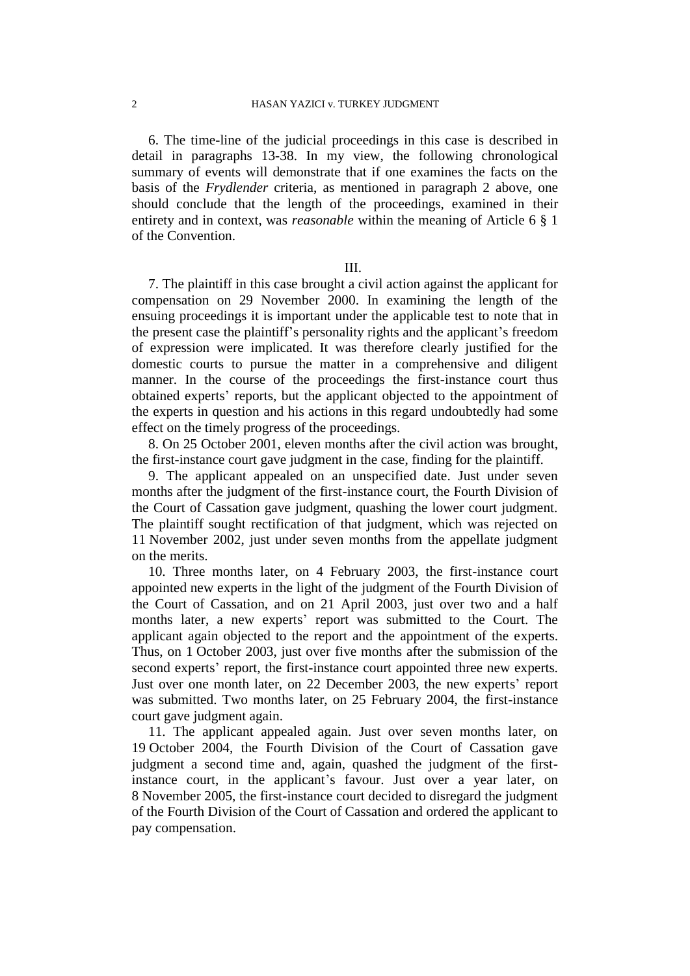6. The time-line of the judicial proceedings in this case is described in detail in paragraphs 13-38. In my view, the following chronological summary of events will demonstrate that if one examines the facts on the basis of the *Frydlender* criteria, as mentioned in paragraph 2 above, one should conclude that the length of the proceedings, examined in their entirety and in context, was *reasonable* within the meaning of Article 6 § 1 of the Convention.

III.

7. The plaintiff in this case brought a civil action against the applicant for compensation on 29 November 2000. In examining the length of the ensuing proceedings it is important under the applicable test to note that in the present case the plaintiff's personality rights and the applicant's freedom of expression were implicated. It was therefore clearly justified for the domestic courts to pursue the matter in a comprehensive and diligent manner. In the course of the proceedings the first-instance court thus obtained experts' reports, but the applicant objected to the appointment of the experts in question and his actions in this regard undoubtedly had some effect on the timely progress of the proceedings.

8. On 25 October 2001, eleven months after the civil action was brought, the first-instance court gave judgment in the case, finding for the plaintiff.

9. The applicant appealed on an unspecified date. Just under seven months after the judgment of the first-instance court, the Fourth Division of the Court of Cassation gave judgment, quashing the lower court judgment. The plaintiff sought rectification of that judgment, which was rejected on 11 November 2002, just under seven months from the appellate judgment on the merits.

10. Three months later, on 4 February 2003, the first-instance court appointed new experts in the light of the judgment of the Fourth Division of the Court of Cassation, and on 21 April 2003, just over two and a half months later, a new experts' report was submitted to the Court. The applicant again objected to the report and the appointment of the experts. Thus, on 1 October 2003, just over five months after the submission of the second experts' report, the first-instance court appointed three new experts. Just over one month later, on 22 December 2003, the new experts' report was submitted. Two months later, on 25 February 2004, the first-instance court gave judgment again.

11. The applicant appealed again. Just over seven months later, on 19 October 2004, the Fourth Division of the Court of Cassation gave judgment a second time and, again, quashed the judgment of the firstinstance court, in the applicant's favour. Just over a year later, on 8 November 2005, the first-instance court decided to disregard the judgment of the Fourth Division of the Court of Cassation and ordered the applicant to pay compensation.